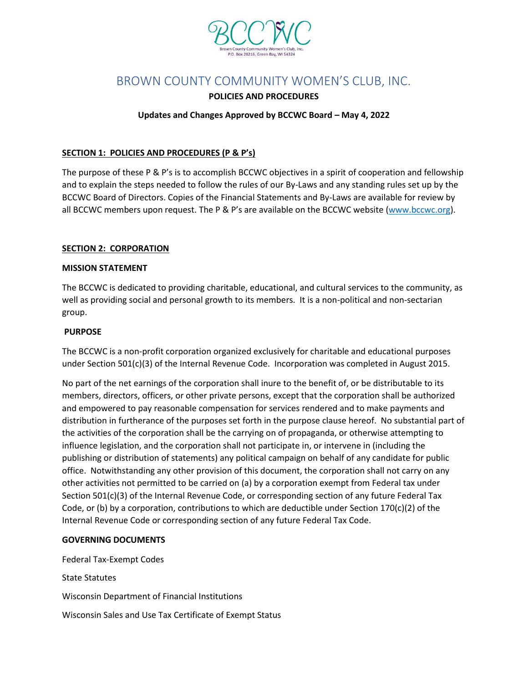

# BROWN COUNTY COMMUNITY WOMEN'S CLUB, INC.

### **POLICIES AND PROCEDURES**

### **Updates and Changes Approved by BCCWC Board – May 4, 2022**

### **SECTION 1: POLICIES AND PROCEDURES (P & P's)**

The purpose of these P & P's is to accomplish BCCWC objectives in a spirit of cooperation and fellowship and to explain the steps needed to follow the rules of our By-Laws and any standing rules set up by the BCCWC Board of Directors. Copies of the Financial Statements and By-Laws are available for review by all BCCWC members upon request. The P & P's are available on the BCCWC website [\(www.bccwc.org\)](http://www.bccwc.org/).

#### **SECTION 2: CORPORATION**

#### **MISSION STATEMENT**

The BCCWC is dedicated to providing charitable, educational, and cultural services to the community, as well as providing social and personal growth to its members. It is a non-political and non-sectarian group.

#### **PURPOSE**

The BCCWC is a non-profit corporation organized exclusively for charitable and educational purposes under Section 501(c)(3) of the Internal Revenue Code. Incorporation was completed in August 2015.

No part of the net earnings of the corporation shall inure to the benefit of, or be distributable to its members, directors, officers, or other private persons, except that the corporation shall be authorized and empowered to pay reasonable compensation for services rendered and to make payments and distribution in furtherance of the purposes set forth in the purpose clause hereof. No substantial part of the activities of the corporation shall be the carrying on of propaganda, or otherwise attempting to influence legislation, and the corporation shall not participate in, or intervene in (including the publishing or distribution of statements) any political campaign on behalf of any candidate for public office. Notwithstanding any other provision of this document, the corporation shall not carry on any other activities not permitted to be carried on (a) by a corporation exempt from Federal tax under Section 501(c)(3) of the Internal Revenue Code, or corresponding section of any future Federal Tax Code, or (b) by a corporation, contributions to which are deductible under Section 170(c)(2) of the Internal Revenue Code or corresponding section of any future Federal Tax Code.

#### **GOVERNING DOCUMENTS**

Federal Tax-Exempt Codes

State Statutes

Wisconsin Department of Financial Institutions

Wisconsin Sales and Use Tax Certificate of Exempt Status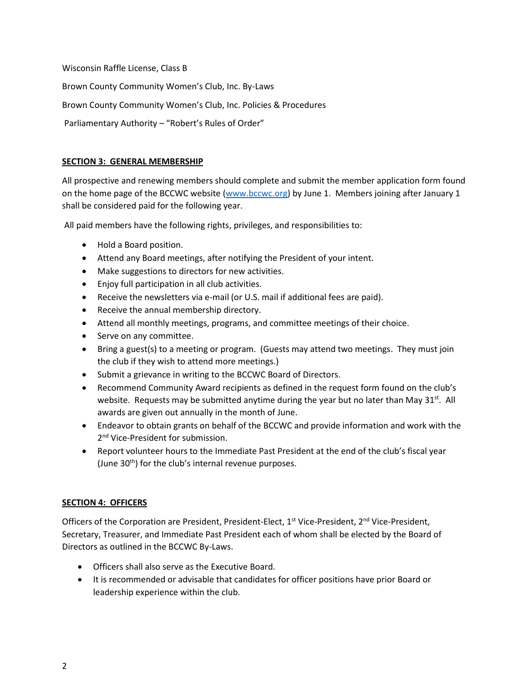Wisconsin Raffle License, Class B

Brown County Community Women's Club, Inc. By-Laws

Brown County Community Women's Club, Inc. Policies & Procedures

Parliamentary Authority – "Robert's Rules of Order"

### **SECTION 3: GENERAL MEMBERSHIP**

All prospective and renewing members should complete and submit the member application form found on the home page of the BCCWC website [\(www.bccwc.org\)](http://www.bccwc.org/) by June 1. Members joining after January 1 shall be considered paid for the following year.

All paid members have the following rights, privileges, and responsibilities to:

- Hold a Board position.
- Attend any Board meetings, after notifying the President of your intent.
- Make suggestions to directors for new activities.
- Enjoy full participation in all club activities.
- Receive the newsletters via e-mail (or U.S. mail if additional fees are paid).
- Receive the annual membership directory.
- Attend all monthly meetings, programs, and committee meetings of their choice.
- Serve on any committee.
- Bring a guest(s) to a meeting or program. (Guests may attend two meetings. They must join the club if they wish to attend more meetings.)
- Submit a grievance in writing to the BCCWC Board of Directors.
- Recommend Community Award recipients as defined in the request form found on the club's website. Requests may be submitted anytime during the year but no later than May 31 $^{\text{st}}$ . All awards are given out annually in the month of June.
- Endeavor to obtain grants on behalf of the BCCWC and provide information and work with the 2<sup>nd</sup> Vice-President for submission.
- Report volunteer hours to the Immediate Past President at the end of the club's fiscal year (June 30<sup>th</sup>) for the club's internal revenue purposes.

### **SECTION 4: OFFICERS**

Officers of the Corporation are President, President-Elect, 1<sup>st</sup> Vice-President, 2<sup>nd</sup> Vice-President, Secretary, Treasurer, and Immediate Past President each of whom shall be elected by the Board of Directors as outlined in the BCCWC By-Laws.

- Officers shall also serve as the Executive Board.
- It is recommended or advisable that candidates for officer positions have prior Board or leadership experience within the club.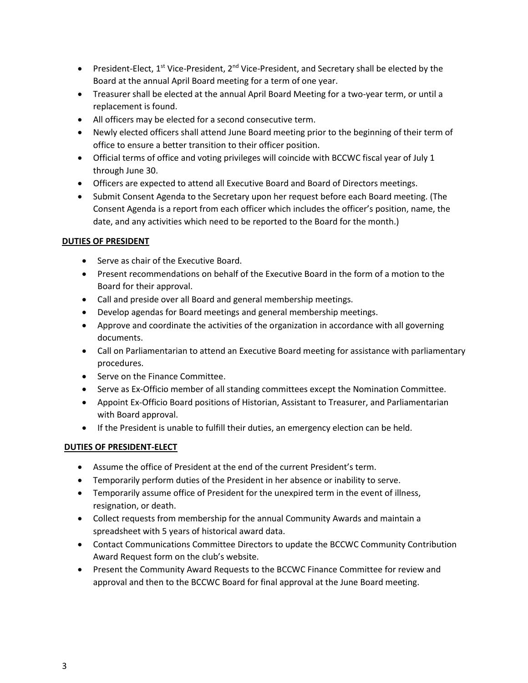- President-Elect,  $1^{st}$  Vice-President,  $2^{nd}$  Vice-President, and Secretary shall be elected by the Board at the annual April Board meeting for a term of one year.
- Treasurer shall be elected at the annual April Board Meeting for a two-year term, or until a replacement is found.
- All officers may be elected for a second consecutive term.
- Newly elected officers shall attend June Board meeting prior to the beginning of their term of office to ensure a better transition to their officer position.
- Official terms of office and voting privileges will coincide with BCCWC fiscal year of July 1 through June 30.
- Officers are expected to attend all Executive Board and Board of Directors meetings.
- Submit Consent Agenda to the Secretary upon her request before each Board meeting. (The Consent Agenda is a report from each officer which includes the officer's position, name, the date, and any activities which need to be reported to the Board for the month.)

### **DUTIES OF PRESIDENT**

- Serve as chair of the Executive Board.
- Present recommendations on behalf of the Executive Board in the form of a motion to the Board for their approval.
- Call and preside over all Board and general membership meetings.
- Develop agendas for Board meetings and general membership meetings.
- Approve and coordinate the activities of the organization in accordance with all governing documents.
- Call on Parliamentarian to attend an Executive Board meeting for assistance with parliamentary procedures.
- Serve on the Finance Committee.
- Serve as Ex-Officio member of all standing committees except the Nomination Committee.
- Appoint Ex-Officio Board positions of Historian, Assistant to Treasurer, and Parliamentarian with Board approval.
- If the President is unable to fulfill their duties, an emergency election can be held.

## **DUTIES OF PRESIDENT-ELECT**

- Assume the office of President at the end of the current President's term.
- Temporarily perform duties of the President in her absence or inability to serve.
- Temporarily assume office of President for the unexpired term in the event of illness, resignation, or death.
- Collect requests from membership for the annual Community Awards and maintain a spreadsheet with 5 years of historical award data.
- Contact Communications Committee Directors to update the BCCWC Community Contribution Award Request form on the club's website.
- Present the Community Award Requests to the BCCWC Finance Committee for review and approval and then to the BCCWC Board for final approval at the June Board meeting.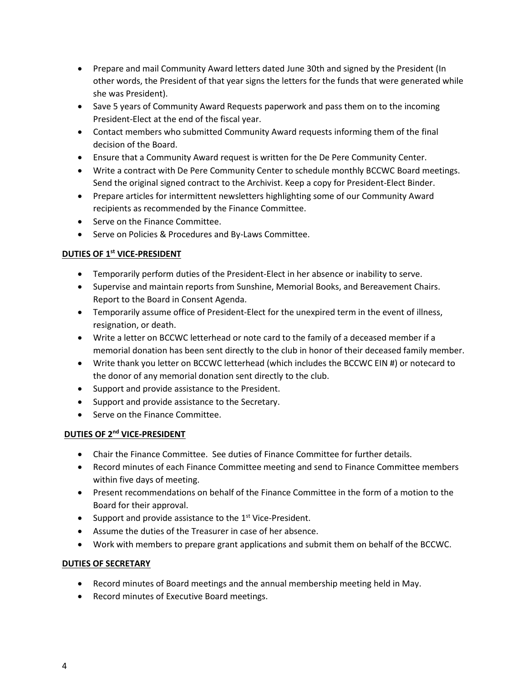- Prepare and mail Community Award letters dated June 30th and signed by the President (In other words, the President of that year signs the letters for the funds that were generated while she was President).
- Save 5 years of Community Award Requests paperwork and pass them on to the incoming President-Elect at the end of the fiscal year.
- Contact members who submitted Community Award requests informing them of the final decision of the Board.
- Ensure that a Community Award request is written for the De Pere Community Center.
- Write a contract with De Pere Community Center to schedule monthly BCCWC Board meetings. Send the original signed contract to the Archivist. Keep a copy for President-Elect Binder.
- Prepare articles for intermittent newsletters highlighting some of our Community Award recipients as recommended by the Finance Committee.
- Serve on the Finance Committee.
- Serve on Policies & Procedures and By-Laws Committee.

### **DUTIES OF 1st VICE-PRESIDENT**

- Temporarily perform duties of the President-Elect in her absence or inability to serve.
- Supervise and maintain reports from Sunshine, Memorial Books, and Bereavement Chairs. Report to the Board in Consent Agenda.
- Temporarily assume office of President-Elect for the unexpired term in the event of illness, resignation, or death.
- Write a letter on BCCWC letterhead or note card to the family of a deceased member if a memorial donation has been sent directly to the club in honor of their deceased family member.
- Write thank you letter on BCCWC letterhead (which includes the BCCWC EIN #) or notecard to the donor of any memorial donation sent directly to the club.
- Support and provide assistance to the President.
- Support and provide assistance to the Secretary.
- Serve on the Finance Committee.

### **DUTIES OF 2nd VICE-PRESIDENT**

- Chair the Finance Committee. See duties of Finance Committee for further details.
- Record minutes of each Finance Committee meeting and send to Finance Committee members within five days of meeting.
- Present recommendations on behalf of the Finance Committee in the form of a motion to the Board for their approval.
- Support and provide assistance to the  $1<sup>st</sup>$  Vice-President.
- Assume the duties of the Treasurer in case of her absence.
- Work with members to prepare grant applications and submit them on behalf of the BCCWC.

### **DUTIES OF SECRETARY**

- Record minutes of Board meetings and the annual membership meeting held in May.
- Record minutes of Executive Board meetings.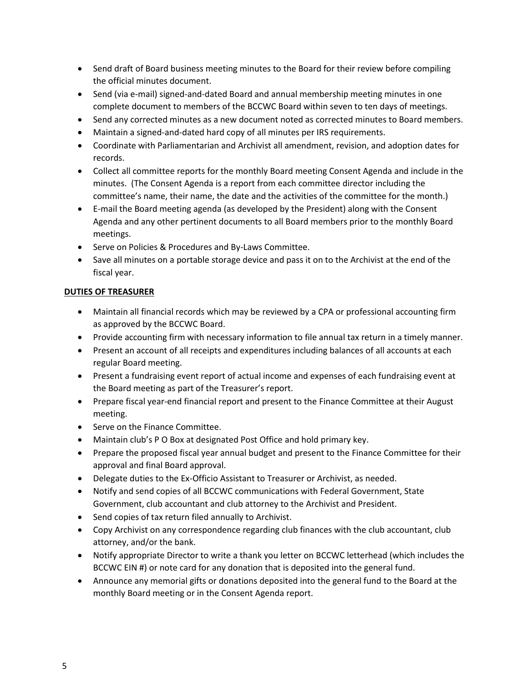- Send draft of Board business meeting minutes to the Board for their review before compiling the official minutes document.
- Send (via e-mail) signed-and-dated Board and annual membership meeting minutes in one complete document to members of the BCCWC Board within seven to ten days of meetings.
- Send any corrected minutes as a new document noted as corrected minutes to Board members.
- Maintain a signed-and-dated hard copy of all minutes per IRS requirements.
- Coordinate with Parliamentarian and Archivist all amendment, revision, and adoption dates for records.
- Collect all committee reports for the monthly Board meeting Consent Agenda and include in the minutes. (The Consent Agenda is a report from each committee director including the committee's name, their name, the date and the activities of the committee for the month.)
- E-mail the Board meeting agenda (as developed by the President) along with the Consent Agenda and any other pertinent documents to all Board members prior to the monthly Board meetings.
- Serve on Policies & Procedures and By-Laws Committee.
- Save all minutes on a portable storage device and pass it on to the Archivist at the end of the fiscal year.

### **DUTIES OF TREASURER**

- Maintain all financial records which may be reviewed by a CPA or professional accounting firm as approved by the BCCWC Board.
- Provide accounting firm with necessary information to file annual tax return in a timely manner.
- Present an account of all receipts and expenditures including balances of all accounts at each regular Board meeting.
- Present a fundraising event report of actual income and expenses of each fundraising event at the Board meeting as part of the Treasurer's report.
- Prepare fiscal year-end financial report and present to the Finance Committee at their August meeting.
- Serve on the Finance Committee.
- Maintain club's P O Box at designated Post Office and hold primary key.
- Prepare the proposed fiscal year annual budget and present to the Finance Committee for their approval and final Board approval.
- Delegate duties to the Ex-Officio Assistant to Treasurer or Archivist, as needed.
- Notify and send copies of all BCCWC communications with Federal Government, State Government, club accountant and club attorney to the Archivist and President.
- Send copies of tax return filed annually to Archivist.
- Copy Archivist on any correspondence regarding club finances with the club accountant, club attorney, and/or the bank.
- Notify appropriate Director to write a thank you letter on BCCWC letterhead (which includes the BCCWC EIN #) or note card for any donation that is deposited into the general fund.
- Announce any memorial gifts or donations deposited into the general fund to the Board at the monthly Board meeting or in the Consent Agenda report.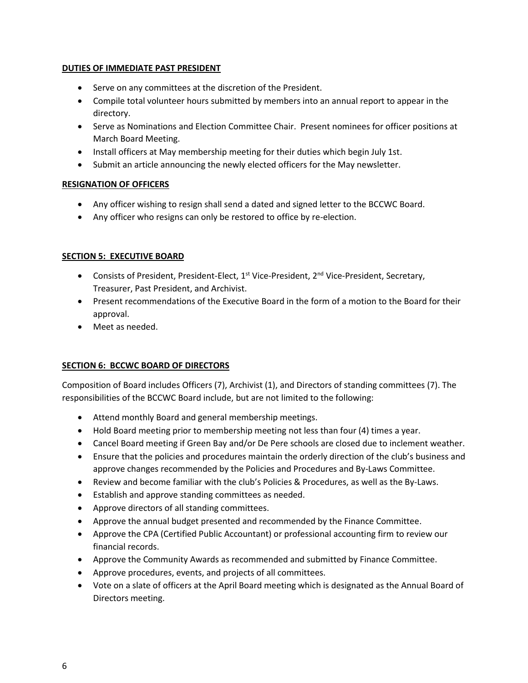#### **DUTIES OF IMMEDIATE PAST PRESIDENT**

- Serve on any committees at the discretion of the President.
- Compile total volunteer hours submitted by members into an annual report to appear in the directory.
- Serve as Nominations and Election Committee Chair. Present nominees for officer positions at March Board Meeting.
- Install officers at May membership meeting for their duties which begin July 1st.
- Submit an article announcing the newly elected officers for the May newsletter.

### **RESIGNATION OF OFFICERS**

- Any officer wishing to resign shall send a dated and signed letter to the BCCWC Board.
- Any officer who resigns can only be restored to office by re-election.

### **SECTION 5: EXECUTIVE BOARD**

- Consists of President, President-Elect,  $1^{st}$  Vice-President,  $2^{nd}$  Vice-President, Secretary, Treasurer, Past President, and Archivist.
- Present recommendations of the Executive Board in the form of a motion to the Board for their approval.
- Meet as needed.

### **SECTION 6: BCCWC BOARD OF DIRECTORS**

Composition of Board includes Officers (7), Archivist (1), and Directors of standing committees (7). The responsibilities of the BCCWC Board include, but are not limited to the following:

- Attend monthly Board and general membership meetings.
- Hold Board meeting prior to membership meeting not less than four (4) times a year.
- Cancel Board meeting if Green Bay and/or De Pere schools are closed due to inclement weather.
- Ensure that the policies and procedures maintain the orderly direction of the club's business and approve changes recommended by the Policies and Procedures and By-Laws Committee.
- Review and become familiar with the club's Policies & Procedures, as well as the By-Laws.
- Establish and approve standing committees as needed.
- Approve directors of all standing committees.
- Approve the annual budget presented and recommended by the Finance Committee.
- Approve the CPA (Certified Public Accountant) or professional accounting firm to review our financial records.
- Approve the Community Awards as recommended and submitted by Finance Committee.
- Approve procedures, events, and projects of all committees.
- Vote on a slate of officers at the April Board meeting which is designated as the Annual Board of Directors meeting.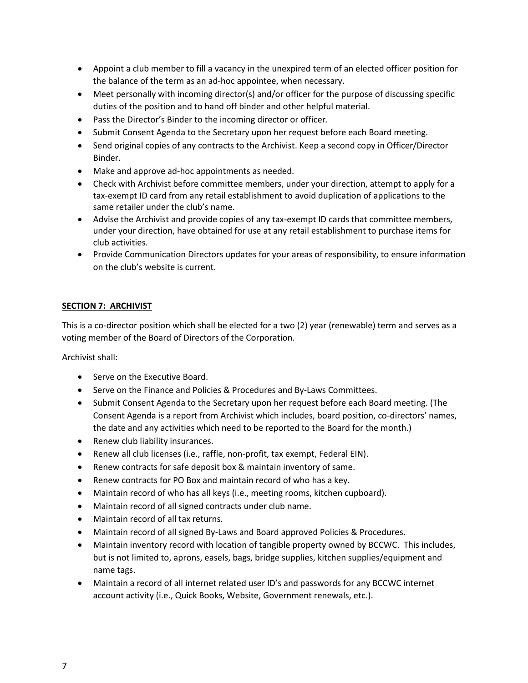- Appoint a club member to fill a vacancy in the unexpired term of an elected officer position for the balance of the term as an ad-hoc appointee, when necessary.
- Meet personally with incoming director(s) and/or officer for the purpose of discussing specific duties of the position and to hand off binder and other helpful material.
- Pass the Director's Binder to the incoming director or officer.
- Submit Consent Agenda to the Secretary upon her request before each Board meeting.
- Send original copies of any contracts to the Archivist. Keep a second copy in Officer/Director Binder.
- Make and approve ad-hoc appointments as needed.
- Check with Archivist before committee members, under your direction, attempt to apply for a tax-exempt ID card from any retail establishment to avoid duplication of applications to the same retailer under the club's name.
- Advise the Archivist and provide copies of any tax-exempt ID cards that committee members, under your direction, have obtained for use at any retail establishment to purchase items for club activities.
- Provide Communication Directors updates for your areas of responsibility, to ensure information on the club's website is current.

### **SECTION 7: ARCHIVIST**

This is a co-director position which shall be elected for a two (2) year (renewable) term and serves as a voting member of the Board of Directors of the Corporation.

Archivist shall:

- Serve on the Executive Board.
- Serve on the Finance and Policies & Procedures and By-Laws Committees.
- Submit Consent Agenda to the Secretary upon her request before each Board meeting. (The Consent Agenda is a report from Archivist which includes, board position, co-directors' names, the date and any activities which need to be reported to the Board for the month.)
- Renew club liability insurances.
- Renew all club licenses (i.e., raffle, non-profit, tax exempt, Federal EIN).
- Renew contracts for safe deposit box & maintain inventory of same.
- Renew contracts for PO Box and maintain record of who has a key.
- Maintain record of who has all keys (i.e., meeting rooms, kitchen cupboard).
- Maintain record of all signed contracts under club name.
- Maintain record of all tax returns.
- Maintain record of all signed By-Laws and Board approved Policies & Procedures.
- Maintain inventory record with location of tangible property owned by BCCWC. This includes, but is not limited to, aprons, easels, bags, bridge supplies, kitchen supplies/equipment and name tags.
- Maintain a record of all internet related user ID's and passwords for any BCCWC internet account activity (i.e., Quick Books, Website, Government renewals, etc.).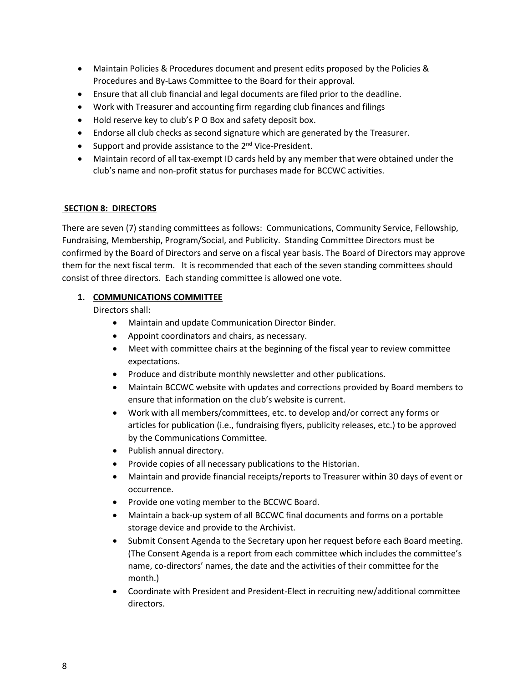- Maintain Policies & Procedures document and present edits proposed by the Policies & Procedures and By-Laws Committee to the Board for their approval.
- Ensure that all club financial and legal documents are filed prior to the deadline.
- Work with Treasurer and accounting firm regarding club finances and filings
- Hold reserve key to club's P O Box and safety deposit box.
- Endorse all club checks as second signature which are generated by the Treasurer.
- Support and provide assistance to the 2<sup>nd</sup> Vice-President.
- Maintain record of all tax-exempt ID cards held by any member that were obtained under the club's name and non-profit status for purchases made for BCCWC activities.

### **SECTION 8: DIRECTORS**

There are seven (7) standing committees as follows: Communications, Community Service, Fellowship, Fundraising, Membership, Program/Social, and Publicity. Standing Committee Directors must be confirmed by the Board of Directors and serve on a fiscal year basis. The Board of Directors may approve them for the next fiscal term. It is recommended that each of the seven standing committees should consist of three directors. Each standing committee is allowed one vote.

### **1. COMMUNICATIONS COMMITTEE**

- Maintain and update Communication Director Binder.
- Appoint coordinators and chairs, as necessary.
- Meet with committee chairs at the beginning of the fiscal year to review committee expectations.
- Produce and distribute monthly newsletter and other publications.
- Maintain BCCWC website with updates and corrections provided by Board members to ensure that information on the club's website is current.
- Work with all members/committees, etc. to develop and/or correct any forms or articles for publication (i.e., fundraising flyers, publicity releases, etc.) to be approved by the Communications Committee.
- Publish annual directory.
- Provide copies of all necessary publications to the Historian.
- Maintain and provide financial receipts/reports to Treasurer within 30 days of event or occurrence.
- Provide one voting member to the BCCWC Board.
- Maintain a back-up system of all BCCWC final documents and forms on a portable storage device and provide to the Archivist.
- Submit Consent Agenda to the Secretary upon her request before each Board meeting. (The Consent Agenda is a report from each committee which includes the committee's name, co-directors' names, the date and the activities of their committee for the month.)
- Coordinate with President and President-Elect in recruiting new/additional committee directors.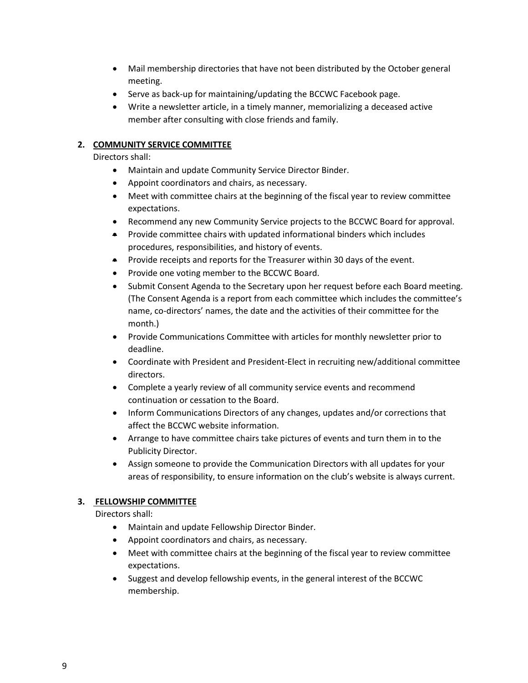- Mail membership directories that have not been distributed by the October general meeting.
- Serve as back-up for maintaining/updating the BCCWC Facebook page.
- Write a newsletter article, in a timely manner, memorializing a deceased active member after consulting with close friends and family.

### **2. COMMUNITY SERVICE COMMITTEE**

Directors shall:

- Maintain and update Community Service Director Binder.
- Appoint coordinators and chairs, as necessary.
- Meet with committee chairs at the beginning of the fiscal year to review committee expectations.
- Recommend any new Community Service projects to the BCCWC Board for approval.
- Provide committee chairs with updated informational binders which includes procedures, responsibilities, and history of events.
- Provide receipts and reports for the Treasurer within 30 days of the event.
- Provide one voting member to the BCCWC Board.
- Submit Consent Agenda to the Secretary upon her request before each Board meeting. (The Consent Agenda is a report from each committee which includes the committee's name, co-directors' names, the date and the activities of their committee for the month.)
- Provide Communications Committee with articles for monthly newsletter prior to deadline.
- Coordinate with President and President-Elect in recruiting new/additional committee directors.
- Complete a yearly review of all community service events and recommend continuation or cessation to the Board.
- Inform Communications Directors of any changes, updates and/or corrections that affect the BCCWC website information.
- Arrange to have committee chairs take pictures of events and turn them in to the Publicity Director.
- Assign someone to provide the Communication Directors with all updates for your areas of responsibility, to ensure information on the club's website is always current.

#### **3. FELLOWSHIP COMMITTEE**

- Maintain and update Fellowship Director Binder.
- Appoint coordinators and chairs, as necessary.
- Meet with committee chairs at the beginning of the fiscal year to review committee expectations.
- Suggest and develop fellowship events, in the general interest of the BCCWC membership.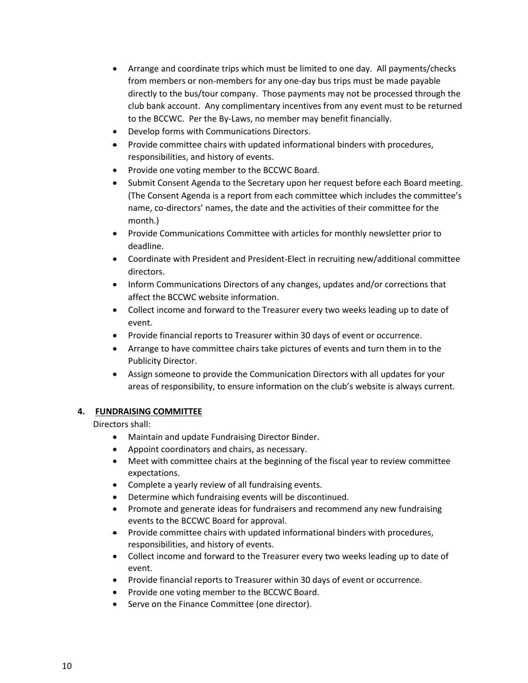- Arrange and coordinate trips which must be limited to one day. All payments/checks from members or non-members for any one-day bus trips must be made payable directly to the bus/tour company. Those payments may not be processed through the club bank account. Any complimentary incentives from any event must to be returned to the BCCWC. Per the By-Laws, no member may benefit financially.
- Develop forms with Communications Directors.
- Provide committee chairs with updated informational binders with procedures, responsibilities, and history of events.
- Provide one voting member to the BCCWC Board.
- Submit Consent Agenda to the Secretary upon her request before each Board meeting. (The Consent Agenda is a report from each committee which includes the committee's name, co-directors' names, the date and the activities of their committee for the month.)
- Provide Communications Committee with articles for monthly newsletter prior to deadline.
- Coordinate with President and President-Elect in recruiting new/additional committee directors.
- Inform Communications Directors of any changes, updates and/or corrections that affect the BCCWC website information.
- Collect income and forward to the Treasurer every two weeks leading up to date of event.
- Provide financial reports to Treasurer within 30 days of event or occurrence.
- Arrange to have committee chairs take pictures of events and turn them in to the Publicity Director.
- Assign someone to provide the Communication Directors with all updates for your areas of responsibility, to ensure information on the club's website is always current.

#### **4. FUNDRAISING COMMITTEE**

- Maintain and update Fundraising Director Binder.
- Appoint coordinators and chairs, as necessary.
- Meet with committee chairs at the beginning of the fiscal year to review committee expectations.
- Complete a yearly review of all fundraising events.
- Determine which fundraising events will be discontinued.
- Promote and generate ideas for fundraisers and recommend any new fundraising events to the BCCWC Board for approval.
- Provide committee chairs with updated informational binders with procedures, responsibilities, and history of events.
- Collect income and forward to the Treasurer every two weeks leading up to date of event.
- Provide financial reports to Treasurer within 30 days of event or occurrence.
- Provide one voting member to the BCCWC Board.
- Serve on the Finance Committee (one director).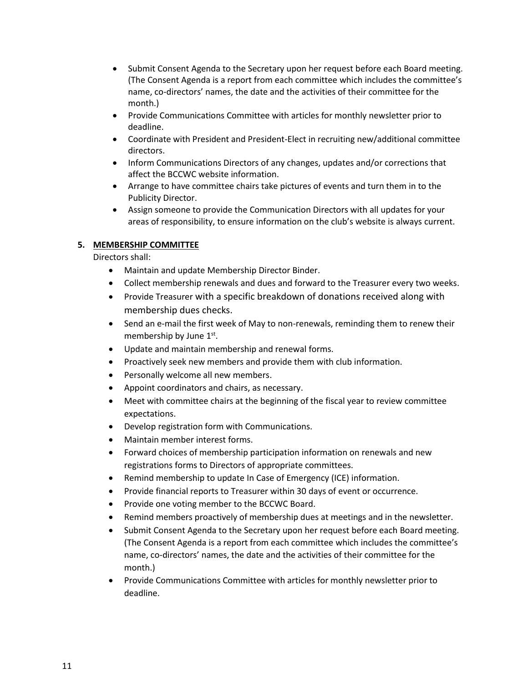- Submit Consent Agenda to the Secretary upon her request before each Board meeting. (The Consent Agenda is a report from each committee which includes the committee's name, co-directors' names, the date and the activities of their committee for the month.)
- Provide Communications Committee with articles for monthly newsletter prior to deadline.
- Coordinate with President and President-Elect in recruiting new/additional committee directors.
- Inform Communications Directors of any changes, updates and/or corrections that affect the BCCWC website information.
- Arrange to have committee chairs take pictures of events and turn them in to the Publicity Director.
- Assign someone to provide the Communication Directors with all updates for your areas of responsibility, to ensure information on the club's website is always current.

### **5. MEMBERSHIP COMMITTEE**

- Maintain and update Membership Director Binder.
- Collect membership renewals and dues and forward to the Treasurer every two weeks.
- Provide Treasurer with a specific breakdown of donations received along with membership dues checks.
- Send an e-mail the first week of May to non-renewals, reminding them to renew their membership by June 1st.
- Update and maintain membership and renewal forms.
- Proactively seek new members and provide them with club information.
- Personally welcome all new members.
- Appoint coordinators and chairs, as necessary.
- Meet with committee chairs at the beginning of the fiscal year to review committee expectations.
- Develop registration form with Communications.
- Maintain member interest forms.
- Forward choices of membership participation information on renewals and new registrations forms to Directors of appropriate committees.
- Remind membership to update In Case of Emergency (ICE) information.
- Provide financial reports to Treasurer within 30 days of event or occurrence.
- Provide one voting member to the BCCWC Board.
- Remind members proactively of membership dues at meetings and in the newsletter.
- Submit Consent Agenda to the Secretary upon her request before each Board meeting. (The Consent Agenda is a report from each committee which includes the committee's name, co-directors' names, the date and the activities of their committee for the month.)
- Provide Communications Committee with articles for monthly newsletter prior to deadline.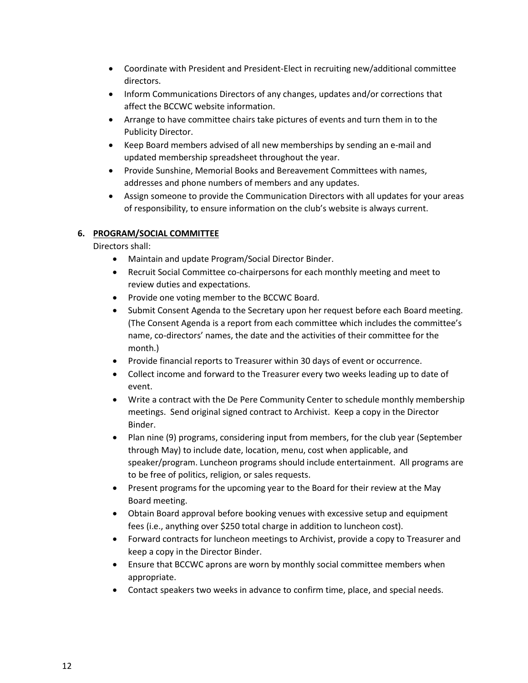- Coordinate with President and President-Elect in recruiting new/additional committee directors.
- Inform Communications Directors of any changes, updates and/or corrections that affect the BCCWC website information.
- Arrange to have committee chairs take pictures of events and turn them in to the Publicity Director.
- Keep Board members advised of all new memberships by sending an e-mail and updated membership spreadsheet throughout the year.
- Provide Sunshine, Memorial Books and Bereavement Committees with names, addresses and phone numbers of members and any updates.
- Assign someone to provide the Communication Directors with all updates for your areas of responsibility, to ensure information on the club's website is always current.

### **6. PROGRAM/SOCIAL COMMITTEE**

- Maintain and update Program/Social Director Binder.
- Recruit Social Committee co-chairpersons for each monthly meeting and meet to review duties and expectations.
- Provide one voting member to the BCCWC Board.
- Submit Consent Agenda to the Secretary upon her request before each Board meeting. (The Consent Agenda is a report from each committee which includes the committee's name, co-directors' names, the date and the activities of their committee for the month.)
- Provide financial reports to Treasurer within 30 days of event or occurrence.
- Collect income and forward to the Treasurer every two weeks leading up to date of event.
- Write a contract with the De Pere Community Center to schedule monthly membership meetings. Send original signed contract to Archivist. Keep a copy in the Director Binder.
- Plan nine (9) programs, considering input from members, for the club year (September through May) to include date, location, menu, cost when applicable, and speaker/program. Luncheon programs should include entertainment. All programs are to be free of politics, religion, or sales requests.
- Present programs for the upcoming year to the Board for their review at the May Board meeting.
- Obtain Board approval before booking venues with excessive setup and equipment fees (i.e., anything over \$250 total charge in addition to luncheon cost).
- Forward contracts for luncheon meetings to Archivist, provide a copy to Treasurer and keep a copy in the Director Binder.
- Ensure that BCCWC aprons are worn by monthly social committee members when appropriate.
- Contact speakers two weeks in advance to confirm time, place, and special needs.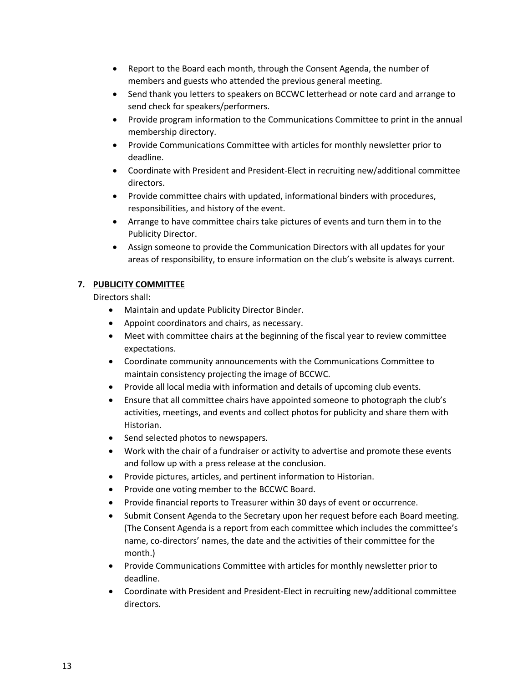- Report to the Board each month, through the Consent Agenda, the number of members and guests who attended the previous general meeting.
- Send thank you letters to speakers on BCCWC letterhead or note card and arrange to send check for speakers/performers.
- Provide program information to the Communications Committee to print in the annual membership directory.
- Provide Communications Committee with articles for monthly newsletter prior to deadline.
- Coordinate with President and President-Elect in recruiting new/additional committee directors.
- Provide committee chairs with updated, informational binders with procedures, responsibilities, and history of the event.
- Arrange to have committee chairs take pictures of events and turn them in to the Publicity Director.
- Assign someone to provide the Communication Directors with all updates for your areas of responsibility, to ensure information on the club's website is always current.

### **7. PUBLICITY COMMITTEE**

- Maintain and update Publicity Director Binder.
- Appoint coordinators and chairs, as necessary.
- Meet with committee chairs at the beginning of the fiscal year to review committee expectations.
- Coordinate community announcements with the Communications Committee to maintain consistency projecting the image of BCCWC.
- Provide all local media with information and details of upcoming club events.
- Ensure that all committee chairs have appointed someone to photograph the club's activities, meetings, and events and collect photos for publicity and share them with Historian.
- Send selected photos to newspapers.
- Work with the chair of a fundraiser or activity to advertise and promote these events and follow up with a press release at the conclusion.
- Provide pictures, articles, and pertinent information to Historian.
- Provide one voting member to the BCCWC Board.
- Provide financial reports to Treasurer within 30 days of event or occurrence.
- Submit Consent Agenda to the Secretary upon her request before each Board meeting. (The Consent Agenda is a report from each committee which includes the committee's name, co-directors' names, the date and the activities of their committee for the month.)
- Provide Communications Committee with articles for monthly newsletter prior to deadline.
- Coordinate with President and President-Elect in recruiting new/additional committee directors.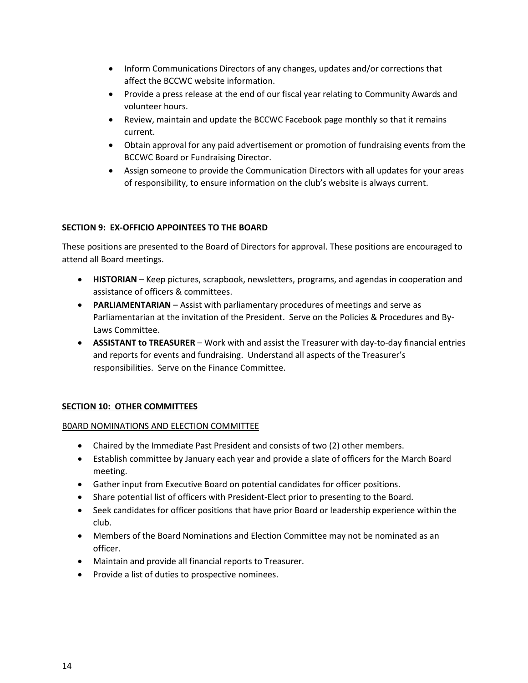- Inform Communications Directors of any changes, updates and/or corrections that affect the BCCWC website information.
- Provide a press release at the end of our fiscal year relating to Community Awards and volunteer hours.
- Review, maintain and update the BCCWC Facebook page monthly so that it remains current.
- Obtain approval for any paid advertisement or promotion of fundraising events from the BCCWC Board or Fundraising Director.
- Assign someone to provide the Communication Directors with all updates for your areas of responsibility, to ensure information on the club's website is always current.

### **SECTION 9: EX-OFFICIO APPOINTEES TO THE BOARD**

These positions are presented to the Board of Directors for approval. These positions are encouraged to attend all Board meetings.

- **HISTORIAN** Keep pictures, scrapbook, newsletters, programs, and agendas in cooperation and assistance of officers & committees.
- **PARLIAMENTARIAN** Assist with parliamentary procedures of meetings and serve as Parliamentarian at the invitation of the President. Serve on the Policies & Procedures and By-Laws Committee.
- **ASSISTANT to TREASURER** Work with and assist the Treasurer with day-to-day financial entries and reports for events and fundraising. Understand all aspects of the Treasurer's responsibilities. Serve on the Finance Committee.

#### **SECTION 10: OTHER COMMITTEES**

#### B0ARD NOMINATIONS AND ELECTION COMMITTEE

- Chaired by the Immediate Past President and consists of two (2) other members.
- Establish committee by January each year and provide a slate of officers for the March Board meeting.
- Gather input from Executive Board on potential candidates for officer positions.
- Share potential list of officers with President-Elect prior to presenting to the Board.
- Seek candidates for officer positions that have prior Board or leadership experience within the club.
- Members of the Board Nominations and Election Committee may not be nominated as an officer.
- Maintain and provide all financial reports to Treasurer.
- Provide a list of duties to prospective nominees.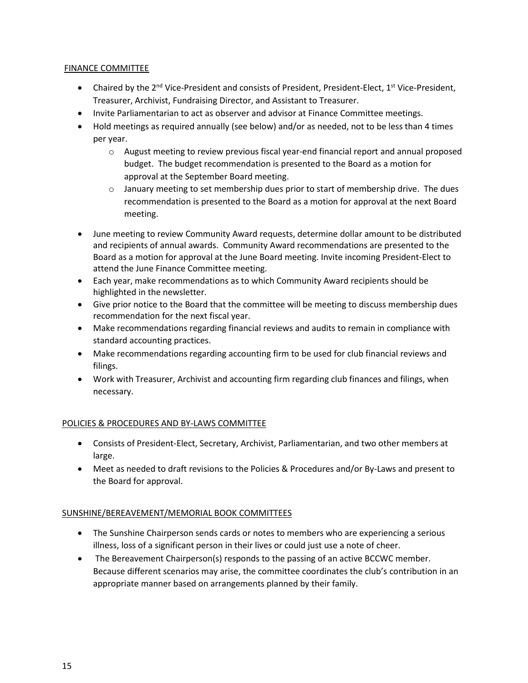### FINANCE COMMITTEE

- Chaired by the  $2^{nd}$  Vice-President and consists of President, President-Elect,  $1^{st}$  Vice-President, Treasurer, Archivist, Fundraising Director, and Assistant to Treasurer.
- Invite Parliamentarian to act as observer and advisor at Finance Committee meetings.
- Hold meetings as required annually (see below) and/or as needed, not to be less than 4 times per year.
	- o August meeting to review previous fiscal year-end financial report and annual proposed budget. The budget recommendation is presented to the Board as a motion for approval at the September Board meeting.
	- $\circ$  January meeting to set membership dues prior to start of membership drive. The dues recommendation is presented to the Board as a motion for approval at the next Board meeting.
- June meeting to review Community Award requests, determine dollar amount to be distributed and recipients of annual awards. Community Award recommendations are presented to the Board as a motion for approval at the June Board meeting. Invite incoming President-Elect to attend the June Finance Committee meeting.
- Each year, make recommendations as to which Community Award recipients should be highlighted in the newsletter.
- Give prior notice to the Board that the committee will be meeting to discuss membership dues recommendation for the next fiscal year.
- Make recommendations regarding financial reviews and audits to remain in compliance with standard accounting practices.
- Make recommendations regarding accounting firm to be used for club financial reviews and filings.
- Work with Treasurer, Archivist and accounting firm regarding club finances and filings, when necessary.

### POLICIES & PROCEDURES AND BY-LAWS COMMITTEE

- Consists of President-Elect, Secretary, Archivist, Parliamentarian, and two other members at large.
- Meet as needed to draft revisions to the Policies & Procedures and/or By-Laws and present to the Board for approval.

### SUNSHINE/BEREAVEMENT/MEMORIAL BOOK COMMITTEES

- The Sunshine Chairperson sends cards or notes to members who are experiencing a serious illness, loss of a significant person in their lives or could just use a note of cheer.
- The Bereavement Chairperson(s) responds to the passing of an active BCCWC member. Because different scenarios may arise, the committee coordinates the club's contribution in an appropriate manner based on arrangements planned by their family.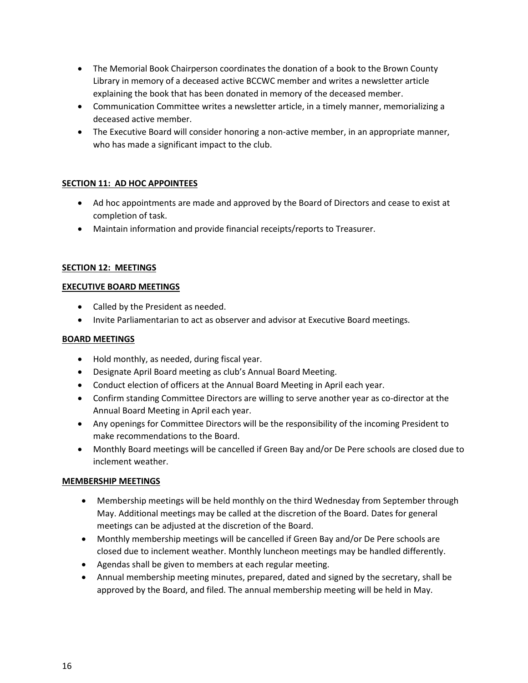- The Memorial Book Chairperson coordinates the donation of a book to the Brown County Library in memory of a deceased active BCCWC member and writes a newsletter article explaining the book that has been donated in memory of the deceased member.
- Communication Committee writes a newsletter article, in a timely manner, memorializing a deceased active member.
- The Executive Board will consider honoring a non-active member, in an appropriate manner, who has made a significant impact to the club.

### **SECTION 11: AD HOC APPOINTEES**

- Ad hoc appointments are made and approved by the Board of Directors and cease to exist at completion of task.
- Maintain information and provide financial receipts/reports to Treasurer.

#### **SECTION 12: MEETINGS**

#### **EXECUTIVE BOARD MEETINGS**

- Called by the President as needed.
- Invite Parliamentarian to act as observer and advisor at Executive Board meetings.

#### **BOARD MEETINGS**

- Hold monthly, as needed, during fiscal year.
- Designate April Board meeting as club's Annual Board Meeting.
- Conduct election of officers at the Annual Board Meeting in April each year.
- Confirm standing Committee Directors are willing to serve another year as co-director at the Annual Board Meeting in April each year.
- Any openings for Committee Directors will be the responsibility of the incoming President to make recommendations to the Board.
- Monthly Board meetings will be cancelled if Green Bay and/or De Pere schools are closed due to inclement weather.

#### **MEMBERSHIP MEETINGS**

- Membership meetings will be held monthly on the third Wednesday from September through May. Additional meetings may be called at the discretion of the Board. Dates for general meetings can be adjusted at the discretion of the Board.
- Monthly membership meetings will be cancelled if Green Bay and/or De Pere schools are closed due to inclement weather. Monthly luncheon meetings may be handled differently.
- Agendas shall be given to members at each regular meeting.
- Annual membership meeting minutes, prepared, dated and signed by the secretary, shall be approved by the Board, and filed. The annual membership meeting will be held in May.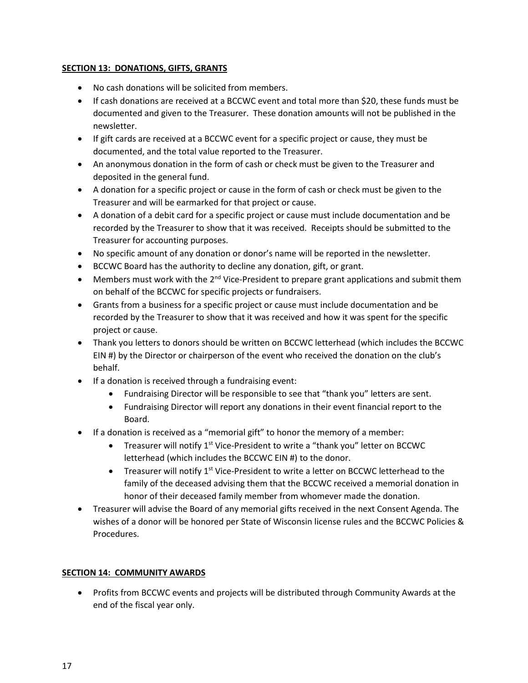### **SECTION 13: DONATIONS, GIFTS, GRANTS**

- No cash donations will be solicited from members.
- If cash donations are received at a BCCWC event and total more than \$20, these funds must be documented and given to the Treasurer. These donation amounts will not be published in the newsletter.
- If gift cards are received at a BCCWC event for a specific project or cause, they must be documented, and the total value reported to the Treasurer.
- An anonymous donation in the form of cash or check must be given to the Treasurer and deposited in the general fund.
- A donation for a specific project or cause in the form of cash or check must be given to the Treasurer and will be earmarked for that project or cause.
- A donation of a debit card for a specific project or cause must include documentation and be recorded by the Treasurer to show that it was received. Receipts should be submitted to the Treasurer for accounting purposes.
- No specific amount of any donation or donor's name will be reported in the newsletter.
- BCCWC Board has the authority to decline any donation, gift, or grant.
- Members must work with the  $2^{nd}$  Vice-President to prepare grant applications and submit them on behalf of the BCCWC for specific projects or fundraisers.
- Grants from a business for a specific project or cause must include documentation and be recorded by the Treasurer to show that it was received and how it was spent for the specific project or cause.
- Thank you letters to donors should be written on BCCWC letterhead (which includes the BCCWC EIN #) by the Director or chairperson of the event who received the donation on the club's behalf.
- If a donation is received through a fundraising event:
	- Fundraising Director will be responsible to see that "thank you" letters are sent.
	- Fundraising Director will report any donations in their event financial report to the Board.
- If a donation is received as a "memorial gift" to honor the memory of a member:
	- Treasurer will notify 1<sup>st</sup> Vice-President to write a "thank you" letter on BCCWC letterhead (which includes the BCCWC EIN #) to the donor.
	- Treasurer will notify  $1^{st}$  Vice-President to write a letter on BCCWC letterhead to the family of the deceased advising them that the BCCWC received a memorial donation in honor of their deceased family member from whomever made the donation.
- Treasurer will advise the Board of any memorial gifts received in the next Consent Agenda. The wishes of a donor will be honored per State of Wisconsin license rules and the BCCWC Policies & Procedures.

### **SECTION 14: COMMUNITY AWARDS**

• Profits from BCCWC events and projects will be distributed through Community Awards at the end of the fiscal year only.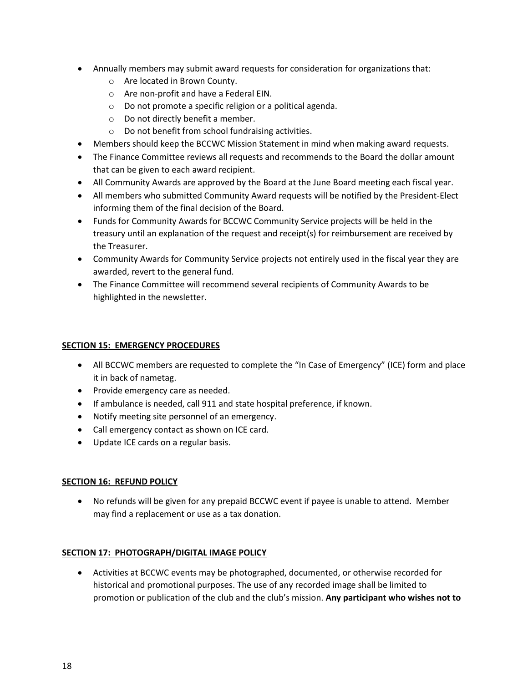- Annually members may submit award requests for consideration for organizations that:
	- o Are located in Brown County.
	- o Are non-profit and have a Federal EIN.
	- o Do not promote a specific religion or a political agenda.
	- o Do not directly benefit a member.
	- o Do not benefit from school fundraising activities.
- Members should keep the BCCWC Mission Statement in mind when making award requests.
- The Finance Committee reviews all requests and recommends to the Board the dollar amount that can be given to each award recipient.
- All Community Awards are approved by the Board at the June Board meeting each fiscal year.
- All members who submitted Community Award requests will be notified by the President-Elect informing them of the final decision of the Board.
- Funds for Community Awards for BCCWC Community Service projects will be held in the treasury until an explanation of the request and receipt(s) for reimbursement are received by the Treasurer.
- Community Awards for Community Service projects not entirely used in the fiscal year they are awarded, revert to the general fund.
- The Finance Committee will recommend several recipients of Community Awards to be highlighted in the newsletter.

### **SECTION 15: EMERGENCY PROCEDURES**

- All BCCWC members are requested to complete the "In Case of Emergency" (ICE) form and place it in back of nametag.
- Provide emergency care as needed.
- If ambulance is needed, call 911 and state hospital preference, if known.
- Notify meeting site personnel of an emergency.
- Call emergency contact as shown on ICE card.
- Update ICE cards on a regular basis.

### **SECTION 16: REFUND POLICY**

• No refunds will be given for any prepaid BCCWC event if payee is unable to attend. Member may find a replacement or use as a tax donation.

### **SECTION 17: PHOTOGRAPH/DIGITAL IMAGE POLICY**

• Activities at BCCWC events may be photographed, documented, or otherwise recorded for historical and promotional purposes. The use of any recorded image shall be limited to promotion or publication of the club and the club's mission. **Any participant who wishes not to**